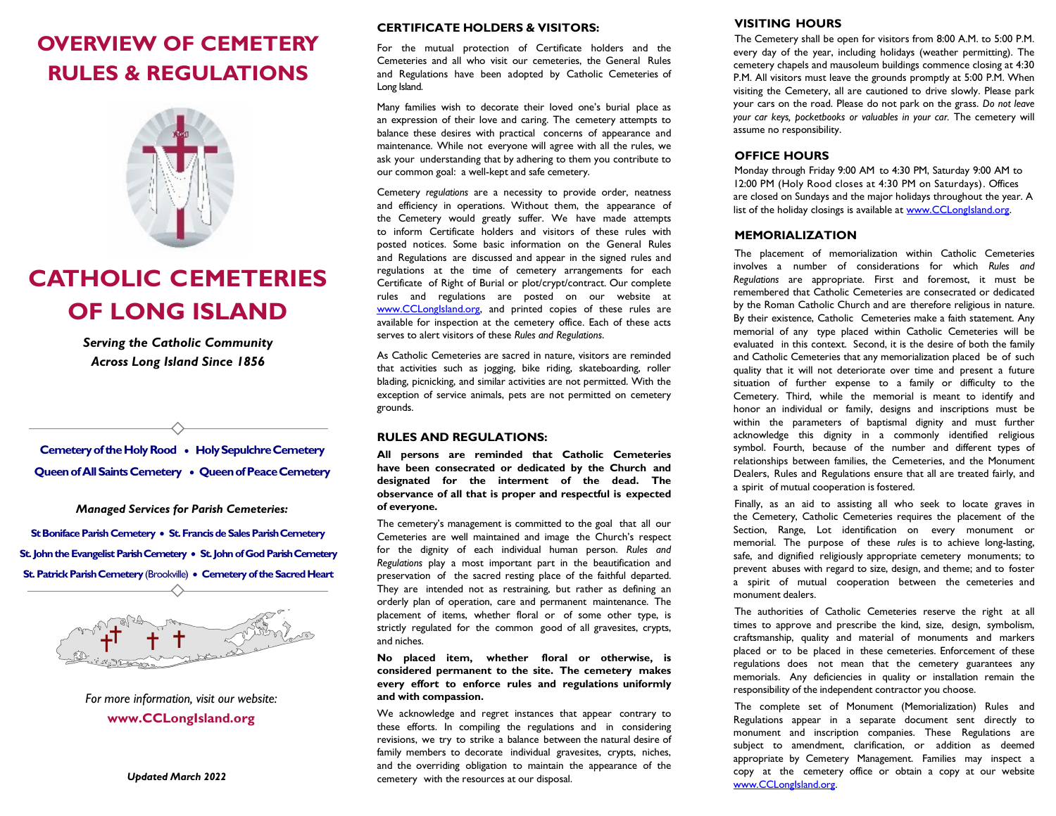# **OVERVIEW OF CEMETERY RULES & REGULATIONS**



# **CATHOLIC CEMETERIES OF LONG ISLAND**

*Serving the Catholic Community Across Long Island Since 1856*

**Cemetery of the Holy Rood • Holy Sepulchre Cemetery** Queen of All Saints Cemetery . Queen of Peace Cemetery

*Managed Services for Parish Cemeteries:*

**St Boniface Parish Cemetery** • **St. Francis de Sales ParishCemetery St. John the Evangelist Parish Cemetery** • **St. John of God Parish Cemetery St. Patrick Parish Cemetery (Brookville) • Cemetery of the Sacred Heart** 



*For more information, visit our website:*  **[www.CCLongIsland.org](http://www.cclongisland.org/)**

*Updated March 2022*

#### **CERTIFICATE HOLDERS & VISITORS:**

For the mutual protection of Certificate holders and the Cemeteries and all who visit our cemeteries, the General Rules and Regulations have been adopted by Catholic Cemeteries of Long Island.

Many families wish to decorate their loved one's burial place as an expression of their love and caring. The cemetery attempts to balance these desires with practical concerns of appearance and maintenance. While not everyone will agree with all the rules, we ask your understanding that by adhering to them you contribute to our common goal: a well-kept and safe cemetery.

Cemetery *regulations* are a necessity to provide order, neatness and efficiency in operations. Without them, the appearance of the Cemetery would greatly suffer. We have made attempts to inform Certificate holders and visitors of these rules with posted notices. Some basic information on the General Rules and Regulations are discussed and appear in the signed rules and regulations at the time of cemetery arrangements for each Certificate of Right of Burial or plot/crypt/contract. Our complete rules and regulations are posted on our website at [www.CCLongIsland.org,](http://www.cclongisland.org/) and printed copies of these rules are available for inspection at the cemetery office. Each of these acts serves to alert visitors of these *Rules and Regulations*.

As Catholic Cemeteries are sacred in nature, visitors are reminded that activities such as jogging, bike riding, skateboarding, roller blading, picnicking, and similar activities are not permitted. With the exception of service animals, pets are not permitted on cemetery grounds.

#### **RULES AND REGULATIONS:**

**All persons are reminded that Catholic Cemeteries have been consecrated or dedicated by the Church and designated for the interment of the dead. The observance of all that is proper and respectful is expected of everyone.**

The cemetery's management is committed to the goal that all our Cemeteries are well maintained and image the Church's respect for the dignity of each individual human person. *Rules and Regulations* play a most important part in the beautification and preservation of the sacred resting place of the faithful departed. They are intended not as restraining, but rather as defining an orderly plan of operation, care and permanent maintenance. The placement of items, whether floral or of some other type, is strictly regulated for the common good of all gravesites, crypts, and niches.

**No placed item, whether floral or otherwise, is considered permanent to the site. The cemetery makes every effort to enforce rules and regulations uniformly and with compassion.**

We acknowledge and regret instances that appear contrary to these efforts. In compiling the regulations and in considering revisions, we try to strike a balance between the natural desire of family members to decorate individual gravesites, crypts, niches, and the overriding obligation to maintain the appearance of the cemetery with the resources at our disposal.

# **VISITING HOURS**

The Cemetery shall be open for visitors from 8:00 A.M. to 5:00 P.M. every day of the year, including holidays (weather permitting). The cemetery chapels and mausoleum buildings commence closing at 4:30 P.M. All visitors must leave the grounds promptly at 5:00 P.M. When visiting the Cemetery, all are cautioned to drive slowly. Please park your cars on the road. Please do not park on the grass. *Do not leave your car keys, pocketbooks or valuables in your car.* The cemetery will assume no responsibility.

# **OFFICE HOURS**

Monday through Friday 9:00 AM to 4:30 PM, Saturday 9:00 AM to 12:00 PM (Holy Rood closes at 4:30 PM on Saturdays). Offices are closed on Sundays and the major holidays throughout the year. A list of the holiday closings is available at [www.CCLongIsland.org.](http://www.cclongisland.org/)

### **MEMORIALIZATION**

The placement of memorialization within Catholic Cemeteries involves a number of considerations for which *Rules and Regulations* are appropriate. First and foremost, it must be remembered that Catholic Cemeteries are consecrated or dedicated by the Roman Catholic Church and are therefore religious in nature. By their existence, Catholic Cemeteries make a faith statement. Any memorial of any type placed within Catholic Cemeteries will be evaluated in this context. Second, it is the desire of both the family and Catholic Cemeteries that any memorialization placed be of such quality that it will not deteriorate over time and present a future situation of further expense to a family or difficulty to the Cemetery. Third, while the memorial is meant to identify and honor an individual or family, designs and inscriptions must be within the parameters of baptismal dignity and must further acknowledge this dignity in a commonly identified religious symbol. Fourth, because of the number and different types of relationships between families, the Cemeteries, and the Monument Dealers, Rules and Regulations ensure that all are treated fairly, and a spirit of mutual cooperation is fostered.

Finally, as an aid to assisting all who seek to locate graves in the Cemetery, Catholic Cemeteries requires the placement of the Section, Range, Lot identification on every monument or memorial. The purpose of these *rules* is to achieve long-lasting, safe, and dignified religiously appropriate cemetery monuments; to prevent abuses with regard to size, design, and theme; and to foster a spirit of mutual cooperation between the cemeteries and monument dealers.

The authorities of Catholic Cemeteries reserve the right at all times to approve and prescribe the kind, size, design, symbolism, craftsmanship, quality and material of monuments and markers placed or to be placed in these cemeteries. Enforcement of these regulations does not mean that the cemetery guarantees any memorials. Any deficiencies in quality or installation remain the responsibility of the independent contractor you choose.

The complete set of Monument (Memorialization) Rules and Regulations appear in a separate document sent directly to monument and inscription companies. These Regulations are subject to amendment, clarification, or addition as deemed appropriate by Cemetery Management. Families may inspect a copy at the cemetery office or obtain a copy at our website [www.CCLongIsland.org.](http://www.cclongisland.org/)